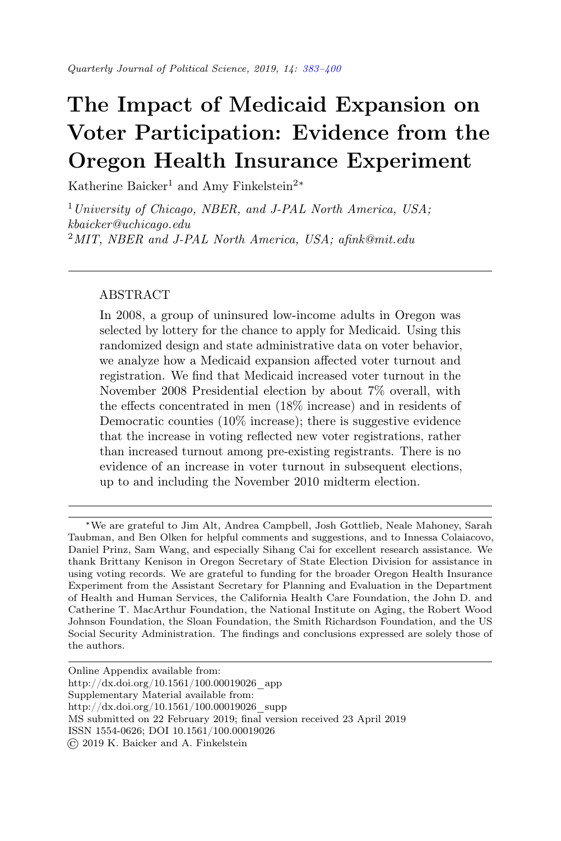# <span id="page-0-0"></span>The Impact of Medicaid Expansion on Voter Participation: Evidence from the Oregon Health Insurance Experiment

Katherine Baicker<sup>1</sup> and Amy Finkelstein<sup>2∗</sup>

 $1$  University of Chicago, NBER, and J-PAL North America, USA; kbaicker@uchicago.edu <sup>2</sup>MIT, NBER and J-PAL North America, USA; afink@mit.edu

## ABSTRACT

In 2008, a group of uninsured low-income adults in Oregon was selected by lottery for the chance to apply for Medicaid. Using this randomized design and state administrative data on voter behavior, we analyze how a Medicaid expansion affected voter turnout and registration. We find that Medicaid increased voter turnout in the November 2008 Presidential election by about 7% overall, with the effects concentrated in men (18% increase) and in residents of Democratic counties (10% increase); there is suggestive evidence that the increase in voting reflected new voter registrations, rather than increased turnout among pre-existing registrants. There is no evidence of an increase in voter turnout in subsequent elections, up to and including the November 2010 midterm election.

<sup>∗</sup>We are grateful to Jim Alt, Andrea Campbell, Josh Gottlieb, Neale Mahoney, Sarah Taubman, and Ben Olken for helpful comments and suggestions, and to Innessa Colaiacovo, Daniel Prinz, Sam Wang, and especially Sihang Cai for excellent research assistance. We thank Brittany Kenison in Oregon Secretary of State Election Division for assistance in using voting records. We are grateful to funding for the broader Oregon Health Insurance Experiment from the Assistant Secretary for Planning and Evaluation in the Department of Health and Human Services, the California Health Care Foundation, the John D. and Catherine T. MacArthur Foundation, the National Institute on Aging, the Robert Wood Johnson Foundation, the Sloan Foundation, the Smith Richardson Foundation, and the US Social Security Administration. The findings and conclusions expressed are solely those of the authors.

Online Appendix available from:

http://dx.doi.org/10.1561/100.00019026\_app

Supplementary Material available from:

http://dx.doi.org/10.1561/100.00019026\_supp

MS submitted on 22 February 2019; final version received 23 April 2019

ISSN 1554-0626; DOI 10.1561/100.00019026

<sup>©</sup> 2019 K. Baicker and A. Finkelstein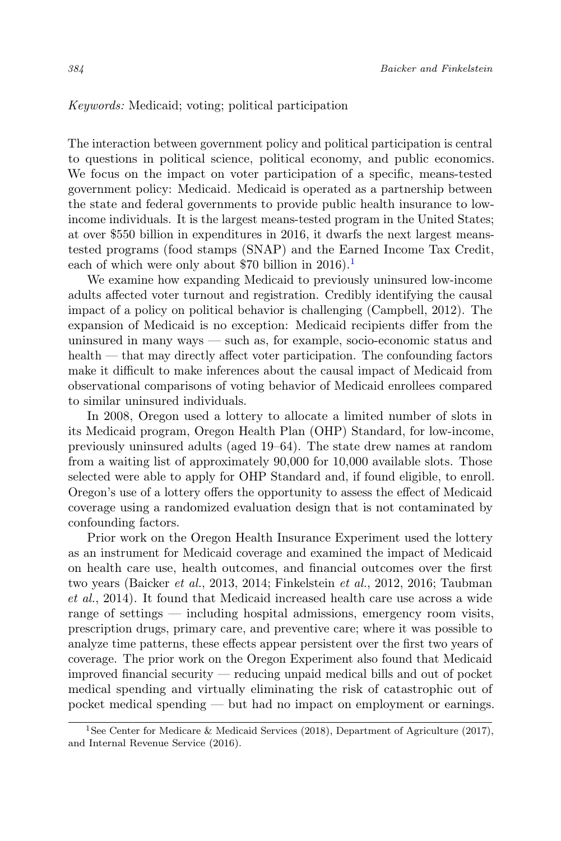#### Keywords: Medicaid; voting; political participation

The interaction between government policy and political participation is central to questions in political science, political economy, and public economics. We focus on the impact on voter participation of a specific, means-tested government policy: Medicaid. Medicaid is operated as a partnership between the state and federal governments to provide public health insurance to lowincome individuals. It is the largest means-tested program in the United States; at over \$550 billion in expenditures in 2016, it dwarfs the next largest meanstested programs (food stamps (SNAP) and the Earned Income Tax Credit, each of which were only about \$70 billion in  $2016$  $2016$  $2016$ .<sup>1</sup>

We examine how expanding Medicaid to previously uninsured low-income adults affected voter turnout and registration. Credibly identifying the causal impact of a policy on political behavior is challenging (Campbell, 2012). The expansion of Medicaid is no exception: Medicaid recipients differ from the uninsured in many ways — such as, for example, socio-economic status and health — that may directly affect voter participation. The confounding factors make it difficult to make inferences about the causal impact of Medicaid from observational comparisons of voting behavior of Medicaid enrollees compared to similar uninsured individuals.

In 2008, Oregon used a lottery to allocate a limited number of slots in its Medicaid program, Oregon Health Plan (OHP) Standard, for low-income, previously uninsured adults (aged 19–64). The state drew names at random from a waiting list of approximately 90,000 for 10,000 available slots. Those selected were able to apply for OHP Standard and, if found eligible, to enroll. Oregon's use of a lottery offers the opportunity to assess the effect of Medicaid coverage using a randomized evaluation design that is not contaminated by confounding factors.

Prior work on the Oregon Health Insurance Experiment used the lottery as an instrument for Medicaid coverage and examined the impact of Medicaid on health care use, health outcomes, and financial outcomes over the first two years (Baicker et al., 2013, 2014; Finkelstein et al., 2012, 2016; Taubman et al., 2014). It found that Medicaid increased health care use across a wide range of settings — including hospital admissions, emergency room visits, prescription drugs, primary care, and preventive care; where it was possible to analyze time patterns, these effects appear persistent over the first two years of coverage. The prior work on the Oregon Experiment also found that Medicaid improved financial security — reducing unpaid medical bills and out of pocket medical spending and virtually eliminating the risk of catastrophic out of pocket medical spending — but had no impact on employment or earnings.

<span id="page-1-0"></span><sup>&</sup>lt;sup>1</sup>See Center for Medicare & Medicaid Services (2018), Department of Agriculture (2017), and Internal Revenue Service (2016).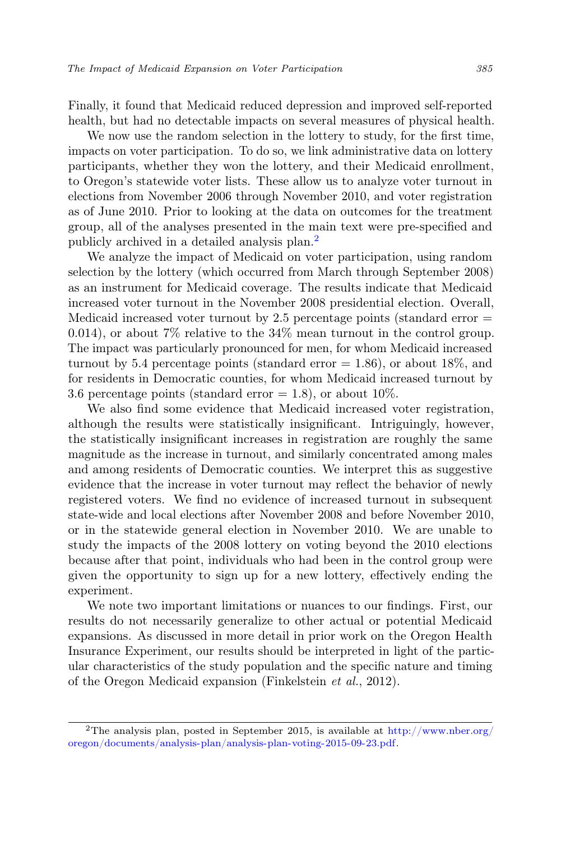Finally, it found that Medicaid reduced depression and improved self-reported health, but had no detectable impacts on several measures of physical health.

We now use the random selection in the lottery to study, for the first time, impacts on voter participation. To do so, we link administrative data on lottery participants, whether they won the lottery, and their Medicaid enrollment, to Oregon's statewide voter lists. These allow us to analyze voter turnout in elections from November 2006 through November 2010, and voter registration as of June 2010. Prior to looking at the data on outcomes for the treatment group, all of the analyses presented in the main text were pre-specified and publicly archived in a detailed analysis plan.[2](#page-2-0)

We analyze the impact of Medicaid on voter participation, using random selection by the lottery (which occurred from March through September 2008) as an instrument for Medicaid coverage. The results indicate that Medicaid increased voter turnout in the November 2008 presidential election. Overall, Medicaid increased voter turnout by 2.5 percentage points (standard error  $=$ 0.014), or about 7% relative to the 34% mean turnout in the control group. The impact was particularly pronounced for men, for whom Medicaid increased turnout by 5.4 percentage points (standard error  $= 1.86$ ), or about 18\%, and for residents in Democratic counties, for whom Medicaid increased turnout by 3.6 percentage points (standard error  $= 1.8$ ), or about 10%.

We also find some evidence that Medicaid increased voter registration, although the results were statistically insignificant. Intriguingly, however, the statistically insignificant increases in registration are roughly the same magnitude as the increase in turnout, and similarly concentrated among males and among residents of Democratic counties. We interpret this as suggestive evidence that the increase in voter turnout may reflect the behavior of newly registered voters. We find no evidence of increased turnout in subsequent state-wide and local elections after November 2008 and before November 2010, or in the statewide general election in November 2010. We are unable to study the impacts of the 2008 lottery on voting beyond the 2010 elections because after that point, individuals who had been in the control group were given the opportunity to sign up for a new lottery, effectively ending the experiment.

We note two important limitations or nuances to our findings. First, our results do not necessarily generalize to other actual or potential Medicaid expansions. As discussed in more detail in prior work on the Oregon Health Insurance Experiment, our results should be interpreted in light of the particular characteristics of the study population and the specific nature and timing of the Oregon Medicaid expansion (Finkelstein et al., 2012).

<span id="page-2-0"></span><sup>&</sup>lt;sup>2</sup>The analysis plan, posted in September 2015, is available at  $\frac{http://www.nber.org/}{http://www.nber.org/}$  $\frac{http://www.nber.org/}{http://www.nber.org/}$  $\frac{http://www.nber.org/}{http://www.nber.org/}$ [oregon/documents/analysis-plan/analysis-plan-voting-2015-09-23.pdf.](http://www.nber.org/oregon/documents/analysis-plan/analysis-plan-voting-2015-09-23.pdf)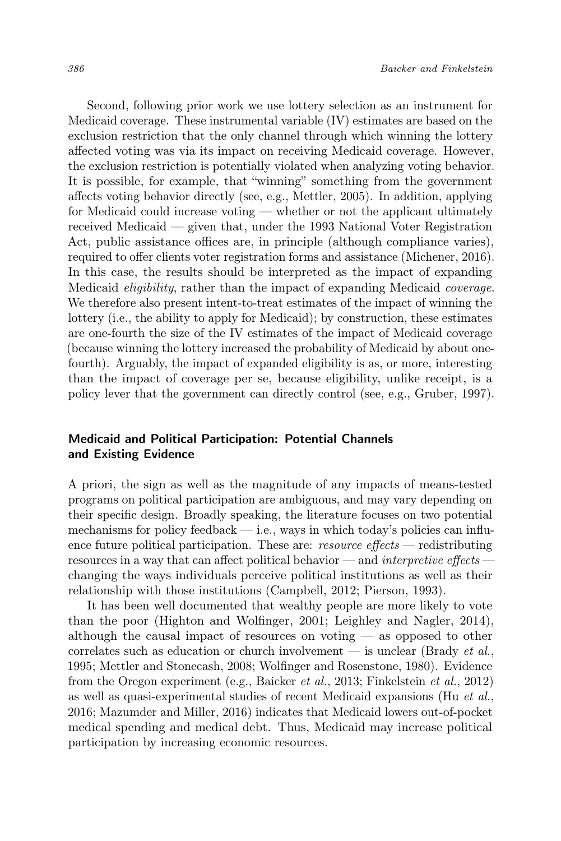Second, following prior work we use lottery selection as an instrument for Medicaid coverage. These instrumental variable (IV) estimates are based on the exclusion restriction that the only channel through which winning the lottery affected voting was via its impact on receiving Medicaid coverage. However, the exclusion restriction is potentially violated when analyzing voting behavior. It is possible, for example, that "winning" something from the government affects voting behavior directly (see, e.g., Mettler, 2005). In addition, applying for Medicaid could increase voting — whether or not the applicant ultimately received Medicaid — given that, under the 1993 National Voter Registration Act, public assistance offices are, in principle (although compliance varies), required to offer clients voter registration forms and assistance (Michener, 2016). In this case, the results should be interpreted as the impact of expanding Medicaid eligibility, rather than the impact of expanding Medicaid coverage. We therefore also present intent-to-treat estimates of the impact of winning the lottery (i.e., the ability to apply for Medicaid); by construction, these estimates are one-fourth the size of the IV estimates of the impact of Medicaid coverage (because winning the lottery increased the probability of Medicaid by about onefourth). Arguably, the impact of expanded eligibility is as, or more, interesting than the impact of coverage per se, because eligibility, unlike receipt, is a policy lever that the government can directly control (see, e.g., Gruber, 1997).

## Medicaid and Political Participation: Potential Channels and Existing Evidence

A priori, the sign as well as the magnitude of any impacts of means-tested programs on political participation are ambiguous, and may vary depending on their specific design. Broadly speaking, the literature focuses on two potential mechanisms for policy feedback  $-$  i.e., ways in which today's policies can influence future political participation. These are: *resource effects* — redistributing resources in a way that can affect political behavior — and interpretive effects changing the ways individuals perceive political institutions as well as their relationship with those institutions (Campbell, 2012; Pierson, 1993).

It has been well documented that wealthy people are more likely to vote than the poor (Highton and Wolfinger, 2001; Leighley and Nagler, 2014), although the causal impact of resources on voting — as opposed to other correlates such as education or church involvement — is unclear (Brady et al., 1995; Mettler and Stonecash, 2008; Wolfinger and Rosenstone, 1980). Evidence from the Oregon experiment (e.g., Baicker et al., 2013; Finkelstein et al., 2012) as well as quasi-experimental studies of recent Medicaid expansions (Hu et al., 2016; Mazumder and Miller, 2016) indicates that Medicaid lowers out-of-pocket medical spending and medical debt. Thus, Medicaid may increase political participation by increasing economic resources.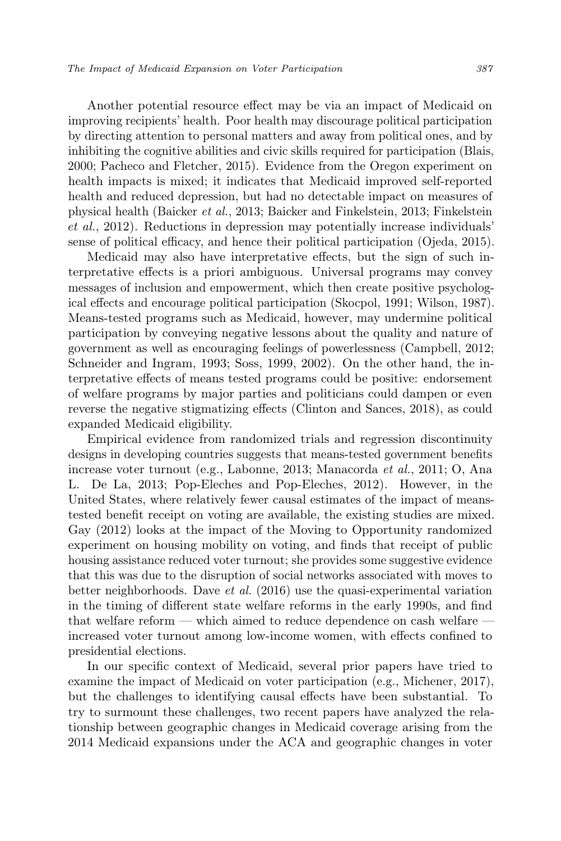Another potential resource effect may be via an impact of Medicaid on improving recipients' health. Poor health may discourage political participation by directing attention to personal matters and away from political ones, and by inhibiting the cognitive abilities and civic skills required for participation (Blais, 2000; Pacheco and Fletcher, 2015). Evidence from the Oregon experiment on health impacts is mixed; it indicates that Medicaid improved self-reported health and reduced depression, but had no detectable impact on measures of physical health (Baicker et al., 2013; Baicker and Finkelstein, 2013; Finkelstein et al., 2012). Reductions in depression may potentially increase individuals' sense of political efficacy, and hence their political participation (Ojeda, 2015).

Medicaid may also have interpretative effects, but the sign of such interpretative effects is a priori ambiguous. Universal programs may convey messages of inclusion and empowerment, which then create positive psychological effects and encourage political participation (Skocpol, 1991; Wilson, 1987). Means-tested programs such as Medicaid, however, may undermine political participation by conveying negative lessons about the quality and nature of government as well as encouraging feelings of powerlessness (Campbell, 2012; Schneider and Ingram, 1993; Soss, 1999, 2002). On the other hand, the interpretative effects of means tested programs could be positive: endorsement of welfare programs by major parties and politicians could dampen or even reverse the negative stigmatizing effects (Clinton and Sances, 2018), as could expanded Medicaid eligibility.

Empirical evidence from randomized trials and regression discontinuity designs in developing countries suggests that means-tested government benefits increase voter turnout (e.g., Labonne, 2013; Manacorda et al., 2011; O, Ana L. De La, 2013; Pop-Eleches and Pop-Eleches, 2012). However, in the United States, where relatively fewer causal estimates of the impact of meanstested benefit receipt on voting are available, the existing studies are mixed. Gay (2012) looks at the impact of the Moving to Opportunity randomized experiment on housing mobility on voting, and finds that receipt of public housing assistance reduced voter turnout; she provides some suggestive evidence that this was due to the disruption of social networks associated with moves to better neighborhoods. Dave et al. (2016) use the quasi-experimental variation in the timing of different state welfare reforms in the early 1990s, and find that welfare reform — which aimed to reduce dependence on cash welfare increased voter turnout among low-income women, with effects confined to presidential elections.

In our specific context of Medicaid, several prior papers have tried to examine the impact of Medicaid on voter participation (e.g., Michener, 2017), but the challenges to identifying causal effects have been substantial. To try to surmount these challenges, two recent papers have analyzed the relationship between geographic changes in Medicaid coverage arising from the 2014 Medicaid expansions under the ACA and geographic changes in voter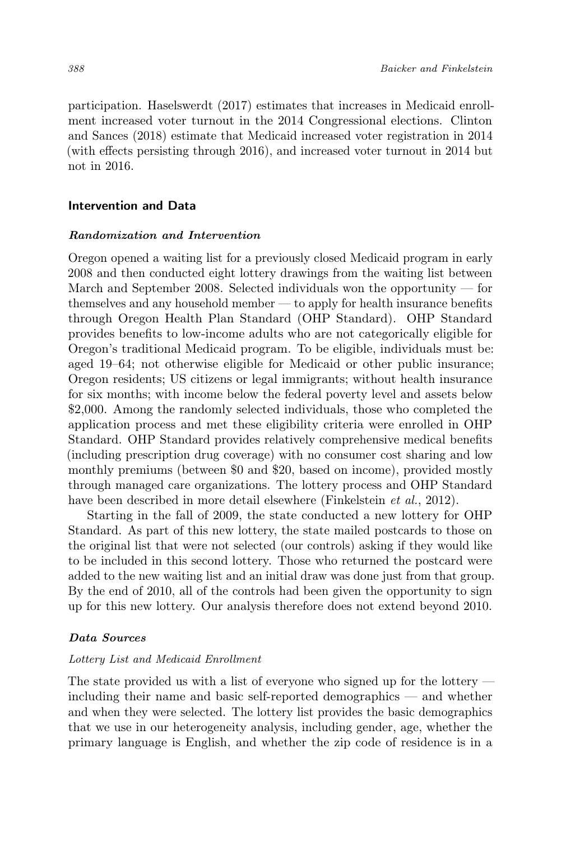participation. Haselswerdt (2017) estimates that increases in Medicaid enrollment increased voter turnout in the 2014 Congressional elections. Clinton and Sances (2018) estimate that Medicaid increased voter registration in 2014 (with effects persisting through 2016), and increased voter turnout in 2014 but not in 2016.

## Intervention and Data

#### Randomization and Intervention

Oregon opened a waiting list for a previously closed Medicaid program in early 2008 and then conducted eight lottery drawings from the waiting list between March and September 2008. Selected individuals won the opportunity — for themselves and any household member — to apply for health insurance benefits through Oregon Health Plan Standard (OHP Standard). OHP Standard provides benefits to low-income adults who are not categorically eligible for Oregon's traditional Medicaid program. To be eligible, individuals must be: aged 19–64; not otherwise eligible for Medicaid or other public insurance; Oregon residents; US citizens or legal immigrants; without health insurance for six months; with income below the federal poverty level and assets below \$2,000. Among the randomly selected individuals, those who completed the application process and met these eligibility criteria were enrolled in OHP Standard. OHP Standard provides relatively comprehensive medical benefits (including prescription drug coverage) with no consumer cost sharing and low monthly premiums (between \$0 and \$20, based on income), provided mostly through managed care organizations. The lottery process and OHP Standard have been described in more detail elsewhere (Finkelstein *et al.*, 2012).

Starting in the fall of 2009, the state conducted a new lottery for OHP Standard. As part of this new lottery, the state mailed postcards to those on the original list that were not selected (our controls) asking if they would like to be included in this second lottery. Those who returned the postcard were added to the new waiting list and an initial draw was done just from that group. By the end of 2010, all of the controls had been given the opportunity to sign up for this new lottery. Our analysis therefore does not extend beyond 2010.

## Data Sources

#### Lottery List and Medicaid Enrollment

The state provided us with a list of everyone who signed up for the lottery including their name and basic self-reported demographics — and whether and when they were selected. The lottery list provides the basic demographics that we use in our heterogeneity analysis, including gender, age, whether the primary language is English, and whether the zip code of residence is in a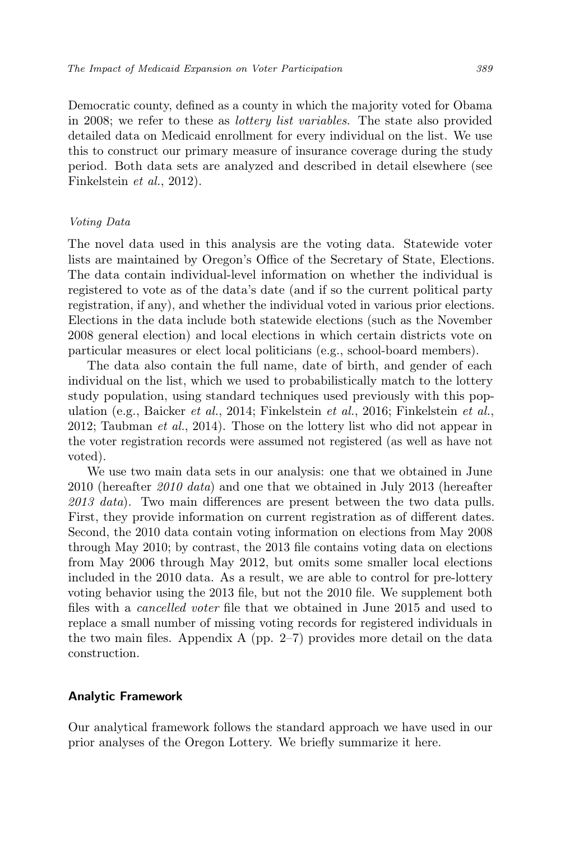Democratic county, defined as a county in which the majority voted for Obama in 2008; we refer to these as lottery list variables. The state also provided detailed data on Medicaid enrollment for every individual on the list. We use this to construct our primary measure of insurance coverage during the study period. Both data sets are analyzed and described in detail elsewhere (see Finkelstein et al., 2012).

#### Voting Data

The novel data used in this analysis are the voting data. Statewide voter lists are maintained by Oregon's Office of the Secretary of State, Elections. The data contain individual-level information on whether the individual is registered to vote as of the data's date (and if so the current political party registration, if any), and whether the individual voted in various prior elections. Elections in the data include both statewide elections (such as the November 2008 general election) and local elections in which certain districts vote on particular measures or elect local politicians (e.g., school-board members).

The data also contain the full name, date of birth, and gender of each individual on the list, which we used to probabilistically match to the lottery study population, using standard techniques used previously with this population (e.g., Baicker et al., 2014; Finkelstein et al., 2016; Finkelstein et al., 2012; Taubman et al., 2014). Those on the lottery list who did not appear in the voter registration records were assumed not registered (as well as have not voted).

We use two main data sets in our analysis: one that we obtained in June 2010 (hereafter 2010 data) and one that we obtained in July 2013 (hereafter 2013 data). Two main differences are present between the two data pulls. First, they provide information on current registration as of different dates. Second, the 2010 data contain voting information on elections from May 2008 through May 2010; by contrast, the 2013 file contains voting data on elections from May 2006 through May 2012, but omits some smaller local elections included in the 2010 data. As a result, we are able to control for pre-lottery voting behavior using the 2013 file, but not the 2010 file. We supplement both files with a cancelled voter file that we obtained in June 2015 and used to replace a small number of missing voting records for registered individuals in the two main files. Appendix A (pp. 2–7) provides more detail on the data construction.

## Analytic Framework

Our analytical framework follows the standard approach we have used in our prior analyses of the Oregon Lottery. We briefly summarize it here.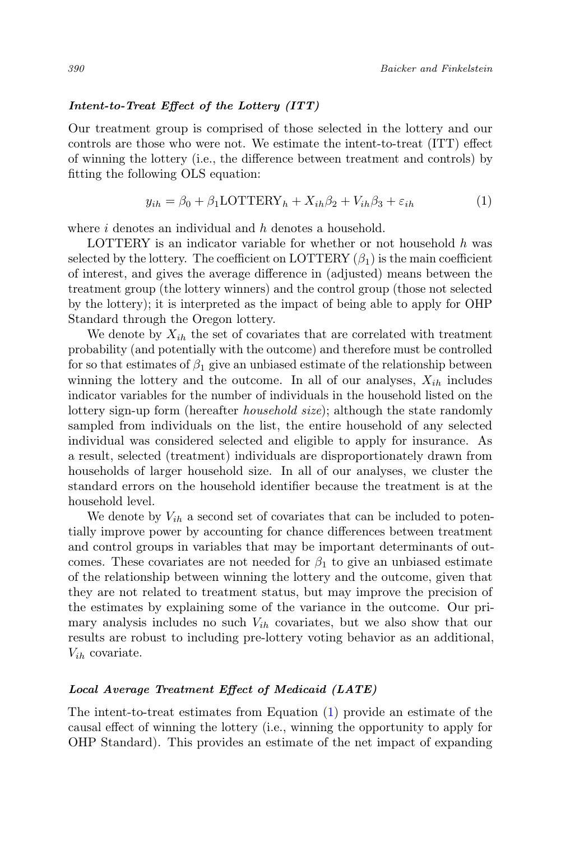#### Intent-to-Treat Effect of the Lottery (ITT)

Our treatment group is comprised of those selected in the lottery and our controls are those who were not. We estimate the intent-to-treat (ITT) effect of winning the lottery (i.e., the difference between treatment and controls) by fitting the following OLS equation:

<span id="page-7-0"></span>
$$
y_{ih} = \beta_0 + \beta_1 \text{LOTTERY}_h + X_{ih}\beta_2 + V_{ih}\beta_3 + \varepsilon_{ih}
$$
\n<sup>(1)</sup>

where *i* denotes an individual and *h* denotes a household.

LOTTERY is an indicator variable for whether or not household  $h$  was selected by the lottery. The coefficient on LOTTERY  $(\beta_1)$  is the main coefficient of interest, and gives the average difference in (adjusted) means between the treatment group (the lottery winners) and the control group (those not selected by the lottery); it is interpreted as the impact of being able to apply for OHP Standard through the Oregon lottery.

We denote by  $X_{ih}$  the set of covariates that are correlated with treatment probability (and potentially with the outcome) and therefore must be controlled for so that estimates of  $\beta_1$  give an unbiased estimate of the relationship between winning the lottery and the outcome. In all of our analyses,  $X_{ih}$  includes indicator variables for the number of individuals in the household listed on the lottery sign-up form (hereafter household size); although the state randomly sampled from individuals on the list, the entire household of any selected individual was considered selected and eligible to apply for insurance. As a result, selected (treatment) individuals are disproportionately drawn from households of larger household size. In all of our analyses, we cluster the standard errors on the household identifier because the treatment is at the household level.

We denote by  $V_{ih}$  a second set of covariates that can be included to potentially improve power by accounting for chance differences between treatment and control groups in variables that may be important determinants of outcomes. These covariates are not needed for  $\beta_1$  to give an unbiased estimate of the relationship between winning the lottery and the outcome, given that they are not related to treatment status, but may improve the precision of the estimates by explaining some of the variance in the outcome. Our primary analysis includes no such  $V_{ih}$  covariates, but we also show that our results are robust to including pre-lottery voting behavior as an additional,  $V_{ih}$  covariate.

#### Local Average Treatment Effect of Medicaid (LATE)

The intent-to-treat estimates from Equation [\(1\)](#page-7-0) provide an estimate of the causal effect of winning the lottery (i.e., winning the opportunity to apply for OHP Standard). This provides an estimate of the net impact of expanding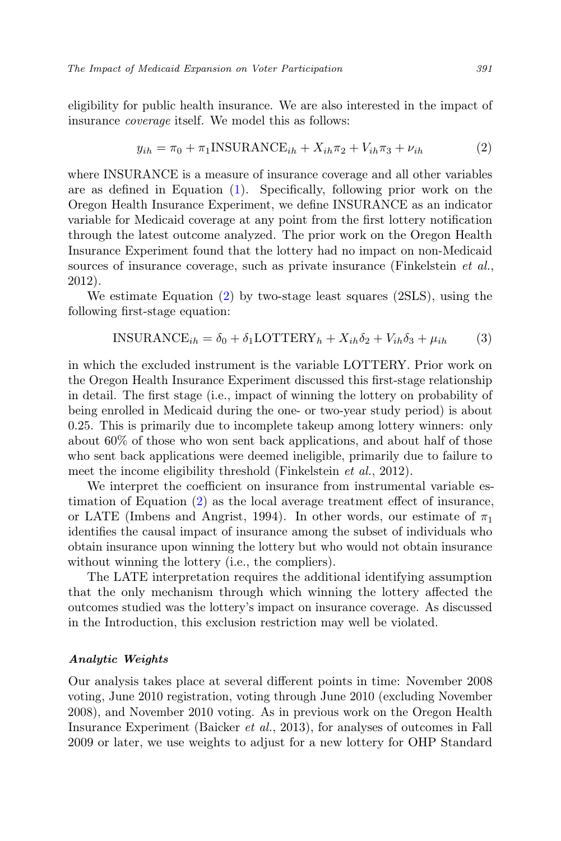eligibility for public health insurance. We are also interested in the impact of insurance coverage itself. We model this as follows:

<span id="page-8-0"></span>
$$
y_{ih} = \pi_0 + \pi_1 \text{INSURANCE}_{ih} + X_{ih}\pi_2 + V_{ih}\pi_3 + \nu_{ih}
$$
 (2)

where INSURANCE is a measure of insurance coverage and all other variables are as defined in Equation [\(1\)](#page-7-0). Specifically, following prior work on the Oregon Health Insurance Experiment, we define INSURANCE as an indicator variable for Medicaid coverage at any point from the first lottery notification through the latest outcome analyzed. The prior work on the Oregon Health Insurance Experiment found that the lottery had no impact on non-Medicaid sources of insurance coverage, such as private insurance (Finkelstein et al., 2012).

We estimate Equation [\(2\)](#page-8-0) by two-stage least squares (2SLS), using the following first-stage equation:

<span id="page-8-1"></span>
$$
INSURANCE_{ih} = \delta_0 + \delta_1 \text{LOTTERY}_h + X_{ih}\delta_2 + V_{ih}\delta_3 + \mu_{ih} \tag{3}
$$

in which the excluded instrument is the variable LOTTERY. Prior work on the Oregon Health Insurance Experiment discussed this first-stage relationship in detail. The first stage (i.e., impact of winning the lottery on probability of being enrolled in Medicaid during the one- or two-year study period) is about 0.25. This is primarily due to incomplete takeup among lottery winners: only about 60% of those who won sent back applications, and about half of those who sent back applications were deemed ineligible, primarily due to failure to meet the income eligibility threshold (Finkelstein *et al.*, 2012).

We interpret the coefficient on insurance from instrumental variable estimation of Equation [\(2\)](#page-8-0) as the local average treatment effect of insurance, or LATE (Imbens and Angrist, 1994). In other words, our estimate of  $\pi_1$ identifies the causal impact of insurance among the subset of individuals who obtain insurance upon winning the lottery but who would not obtain insurance without winning the lottery (i.e., the compliers).

The LATE interpretation requires the additional identifying assumption that the only mechanism through which winning the lottery affected the outcomes studied was the lottery's impact on insurance coverage. As discussed in the Introduction, this exclusion restriction may well be violated.

#### Analytic Weights

Our analysis takes place at several different points in time: November 2008 voting, June 2010 registration, voting through June 2010 (excluding November 2008), and November 2010 voting. As in previous work on the Oregon Health Insurance Experiment (Baicker et al., 2013), for analyses of outcomes in Fall 2009 or later, we use weights to adjust for a new lottery for OHP Standard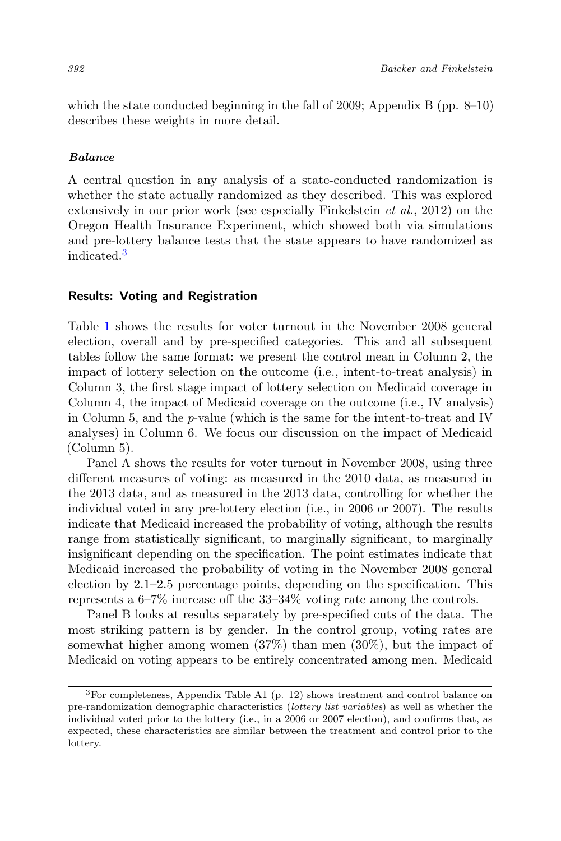which the state conducted beginning in the fall of 2009; Appendix B (pp.  $8-10$ ) describes these weights in more detail.

#### Balance

A central question in any analysis of a state-conducted randomization is whether the state actually randomized as they described. This was explored extensively in our prior work (see especially Finkelstein et al., 2012) on the Oregon Health Insurance Experiment, which showed both via simulations and pre-lottery balance tests that the state appears to have randomized as indicated.[3](#page-9-0)

## Results: Voting and Registration

Table [1](#page-10-0) shows the results for voter turnout in the November 2008 general election, overall and by pre-specified categories. This and all subsequent tables follow the same format: we present the control mean in Column 2, the impact of lottery selection on the outcome (i.e., intent-to-treat analysis) in Column 3, the first stage impact of lottery selection on Medicaid coverage in Column 4, the impact of Medicaid coverage on the outcome (i.e., IV analysis) in Column 5, and the p-value (which is the same for the intent-to-treat and IV analyses) in Column 6. We focus our discussion on the impact of Medicaid (Column 5).

Panel A shows the results for voter turnout in November 2008, using three different measures of voting: as measured in the 2010 data, as measured in the 2013 data, and as measured in the 2013 data, controlling for whether the individual voted in any pre-lottery election (i.e., in 2006 or 2007). The results indicate that Medicaid increased the probability of voting, although the results range from statistically significant, to marginally significant, to marginally insignificant depending on the specification. The point estimates indicate that Medicaid increased the probability of voting in the November 2008 general election by 2.1–2.5 percentage points, depending on the specification. This represents a 6–7% increase off the 33–34% voting rate among the controls.

Panel B looks at results separately by pre-specified cuts of the data. The most striking pattern is by gender. In the control group, voting rates are somewhat higher among women (37%) than men (30%), but the impact of Medicaid on voting appears to be entirely concentrated among men. Medicaid

<span id="page-9-0"></span> ${}^{3}$  For completeness, Appendix Table A1 (p. 12) shows treatment and control balance on pre-randomization demographic characteristics (lottery list variables) as well as whether the individual voted prior to the lottery (i.e., in a 2006 or 2007 election), and confirms that, as expected, these characteristics are similar between the treatment and control prior to the lottery.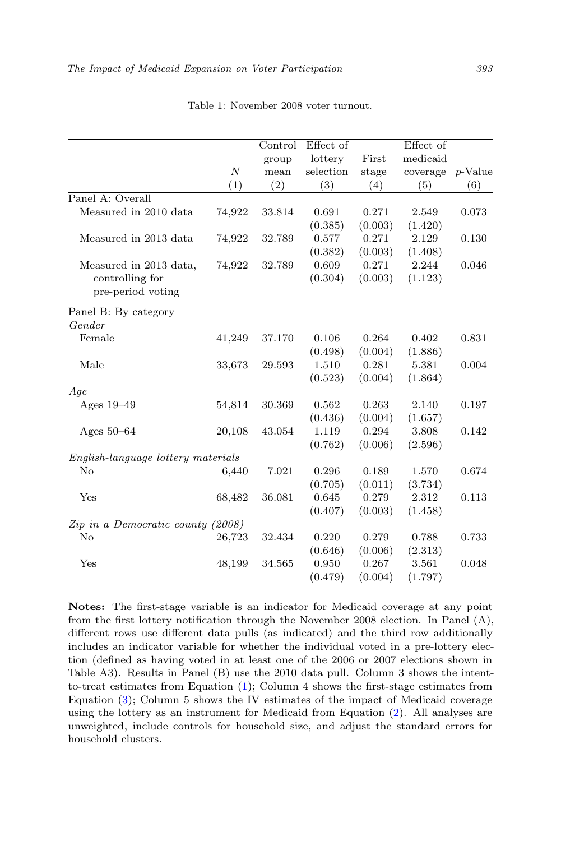<span id="page-10-0"></span>

|                                      |                  | Control | Effect of |         | Effect of |            |
|--------------------------------------|------------------|---------|-----------|---------|-----------|------------|
|                                      |                  | group   | lottery   | First   | medicaid  |            |
|                                      | $\boldsymbol{N}$ | mean    | selection | stage   | coverage  | $p$ -Value |
|                                      | (1)              | (2)     | (3)       | (4)     | (5)       | (6)        |
| Panel A: Overall                     |                  |         |           |         |           |            |
| Measured in 2010 data                | 74,922           | 33.814  | 0.691     | 0.271   | 2.549     | 0.073      |
|                                      |                  |         | (0.385)   | (0.003) | (1.420)   |            |
| Measured in 2013 data                | 74,922           | 32.789  | 0.577     | 0.271   | 2.129     | 0.130      |
|                                      |                  |         | (0.382)   | (0.003) | (1.408)   |            |
| Measured in 2013 data,               | 74,922           | 32.789  | 0.609     | 0.271   | 2.244     | 0.046      |
| controlling for<br>pre-period voting |                  |         | (0.304)   | (0.003) | (1.123)   |            |
| Panel B: By category                 |                  |         |           |         |           |            |
| Gender                               |                  |         |           |         |           |            |
| Female                               | 41,249           | 37.170  | 0.106     | 0.264   | 0.402     | 0.831      |
|                                      |                  |         | (0.498)   | (0.004) | (1.886)   |            |
| Male                                 | 33,673           | 29.593  | 1.510     | 0.281   | 5.381     | 0.004      |
|                                      |                  |         | (0.523)   | (0.004) | (1.864)   |            |
| Age                                  |                  |         |           |         |           |            |
| Ages 19-49                           | 54,814           | 30.369  | 0.562     | 0.263   | 2.140     | 0.197      |
|                                      |                  |         | (0.436)   | (0.004) | (1.657)   |            |
| Ages $50-64$                         | 20,108           | 43.054  | 1.119     | 0.294   | 3.808     | 0.142      |
|                                      |                  |         | (0.762)   | (0.006) | (2.596)   |            |
| English-language lottery materials   |                  |         |           |         |           |            |
| No                                   | 6,440            | 7.021   | 0.296     | 0.189   | 1.570     | 0.674      |
|                                      |                  |         | (0.705)   | (0.011) | (3.734)   |            |
| Yes                                  | 68,482           | 36.081  | 0.645     | 0.279   | 2.312     | 0.113      |
|                                      |                  |         | (0.407)   | (0.003) | (1.458)   |            |
| Zip in a Democratic county (2008)    |                  |         |           |         |           |            |
| No                                   | 26,723           | 32.434  | 0.220     | 0.279   | 0.788     | 0.733      |
|                                      |                  |         | (0.646)   | (0.006) | (2.313)   |            |
| Yes                                  | 48,199           | 34.565  | 0.950     | 0.267   | 3.561     | 0.048      |
|                                      |                  |         | (0.479)   | (0.004) | (1.797)   |            |

Table 1: November 2008 voter turnout.

Notes: The first-stage variable is an indicator for Medicaid coverage at any point from the first lottery notification through the November 2008 election. In Panel (A), different rows use different data pulls (as indicated) and the third row additionally includes an indicator variable for whether the individual voted in a pre-lottery election (defined as having voted in at least one of the 2006 or 2007 elections shown in Table A3). Results in Panel (B) use the 2010 data pull. Column 3 shows the intentto-treat estimates from Equation [\(1\)](#page-7-0); Column 4 shows the first-stage estimates from Equation [\(3\)](#page-8-1); Column 5 shows the IV estimates of the impact of Medicaid coverage using the lottery as an instrument for Medicaid from Equation [\(2\)](#page-8-0). All analyses are unweighted, include controls for household size, and adjust the standard errors for household clusters.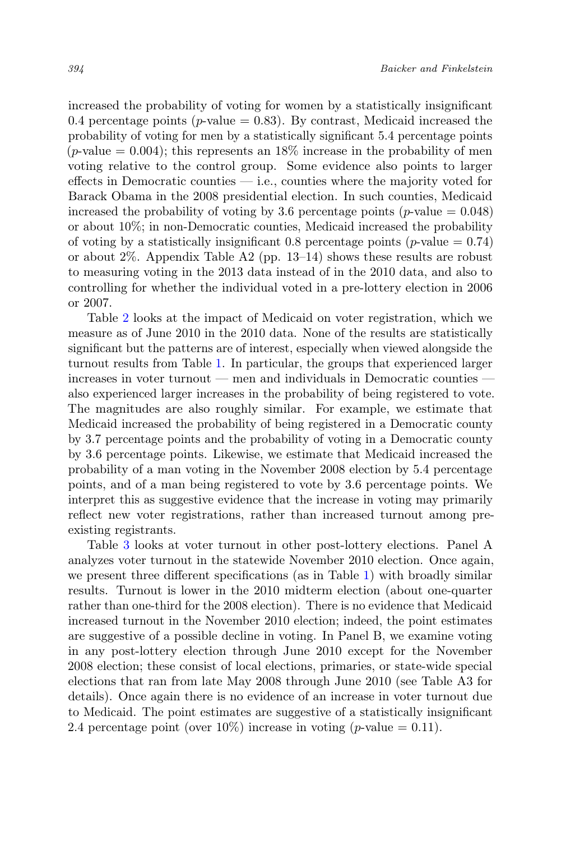increased the probability of voting for women by a statistically insignificant 0.4 percentage points ( $p$ -value = 0.83). By contrast, Medicaid increased the probability of voting for men by a statistically significant 5.4 percentage points (*p*-value  $= 0.004$ ); this represents an 18% increase in the probability of men voting relative to the control group. Some evidence also points to larger effects in Democratic counties — i.e., counties where the majority voted for Barack Obama in the 2008 presidential election. In such counties, Medicaid increased the probability of voting by 3.6 percentage points (*p*-value  $= 0.048$ ) or about 10%; in non-Democratic counties, Medicaid increased the probability of voting by a statistically insignificant 0.8 percentage points ( $p$ -value = 0.74) or about 2%. Appendix Table A2 (pp. 13–14) shows these results are robust to measuring voting in the 2013 data instead of in the 2010 data, and also to controlling for whether the individual voted in a pre-lottery election in 2006 or 2007.

Table [2](#page-12-0) looks at the impact of Medicaid on voter registration, which we measure as of June 2010 in the 2010 data. None of the results are statistically significant but the patterns are of interest, especially when viewed alongside the turnout results from Table [1.](#page-10-0) In particular, the groups that experienced larger increases in voter turnout — men and individuals in Democratic counties also experienced larger increases in the probability of being registered to vote. The magnitudes are also roughly similar. For example, we estimate that Medicaid increased the probability of being registered in a Democratic county by 3.7 percentage points and the probability of voting in a Democratic county by 3.6 percentage points. Likewise, we estimate that Medicaid increased the probability of a man voting in the November 2008 election by 5.4 percentage points, and of a man being registered to vote by 3.6 percentage points. We interpret this as suggestive evidence that the increase in voting may primarily reflect new voter registrations, rather than increased turnout among preexisting registrants.

Table [3](#page-13-0) looks at voter turnout in other post-lottery elections. Panel A analyzes voter turnout in the statewide November 2010 election. Once again, we present three different specifications (as in Table [1\)](#page-10-0) with broadly similar results. Turnout is lower in the 2010 midterm election (about one-quarter rather than one-third for the 2008 election). There is no evidence that Medicaid increased turnout in the November 2010 election; indeed, the point estimates are suggestive of a possible decline in voting. In Panel B, we examine voting in any post-lottery election through June 2010 except for the November 2008 election; these consist of local elections, primaries, or state-wide special elections that ran from late May 2008 through June 2010 (see Table A3 for details). Once again there is no evidence of an increase in voter turnout due to Medicaid. The point estimates are suggestive of a statistically insignificant 2.4 percentage point (over 10%) increase in voting (*p*-value = 0.11).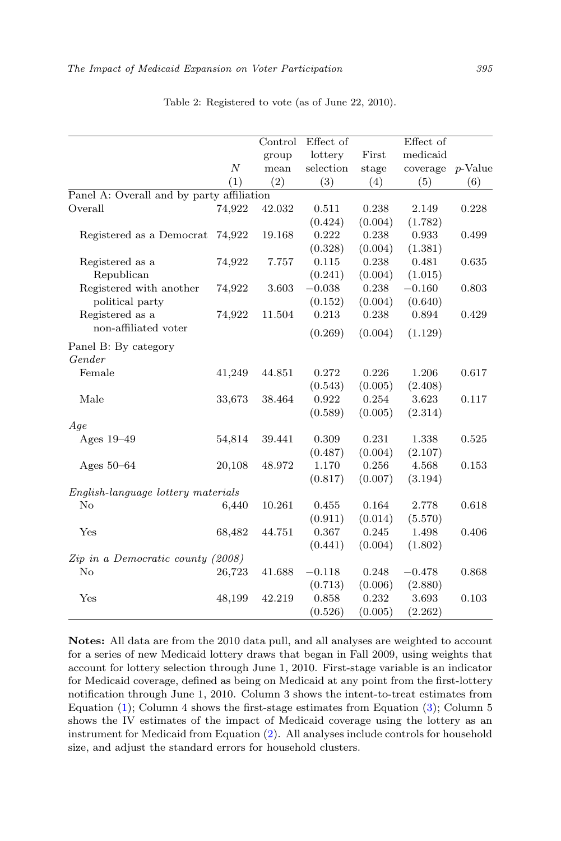<span id="page-12-0"></span>

|                                           |                  | Control | Effect of |         | Effect of |            |
|-------------------------------------------|------------------|---------|-----------|---------|-----------|------------|
|                                           |                  | group   | lottery   | First   | medicaid  |            |
|                                           | $\boldsymbol{N}$ | mean    | selection | stage   | coverage  | $p$ -Value |
|                                           | (1)              | (2)     | (3)       | (4)     | (5)       | (6)        |
| Panel A: Overall and by party affiliation |                  |         |           |         |           |            |
| Overall                                   | 74,922           | 42.032  | 0.511     | 0.238   | 2.149     | 0.228      |
|                                           |                  |         | (0.424)   | (0.004) | (1.782)   |            |
| Registered as a Democrat                  | 74,922           | 19.168  | 0.222     | 0.238   | 0.933     | 0.499      |
|                                           |                  |         | (0.328)   | (0.004) | (1.381)   |            |
| Registered as a                           | 74,922           | 7.757   | 0.115     | 0.238   | 0.481     | 0.635      |
| Republican                                |                  |         | (0.241)   | (0.004) | (1.015)   |            |
| Registered with another                   | 74,922           | 3.603   | $-0.038$  | 0.238   | $-0.160$  | 0.803      |
| political party                           |                  |         | (0.152)   | (0.004) | (0.640)   |            |
| Registered as a                           | 74,922           | 11.504  | 0.213     | 0.238   | 0.894     | 0.429      |
| non-affiliated voter                      |                  |         | (0.269)   | (0.004) | (1.129)   |            |
| Panel B: By category                      |                  |         |           |         |           |            |
| Gender                                    |                  |         |           |         |           |            |
| Female                                    | 41,249           | 44.851  | 0.272     | 0.226   | 1.206     | 0.617      |
|                                           |                  |         | (0.543)   | (0.005) | (2.408)   |            |
| Male                                      | 33,673           | 38.464  | 0.922     | 0.254   | 3.623     | 0.117      |
|                                           |                  |         | (0.589)   | (0.005) | (2.314)   |            |
| Age                                       |                  |         |           |         |           |            |
| Ages $19-49$                              | 54,814           | 39.441  | 0.309     | 0.231   | 1.338     | 0.525      |
|                                           |                  |         | (0.487)   | (0.004) | (2.107)   |            |
| Ages $50-64$                              | 20,108           | 48.972  | 1.170     | 0.256   | 4.568     | 0.153      |
|                                           |                  |         | (0.817)   | (0.007) | (3.194)   |            |
| English-language lottery materials        |                  |         |           |         |           |            |
| No                                        | 6,440            | 10.261  | 0.455     | 0.164   | 2.778     | 0.618      |
|                                           |                  |         | (0.911)   | (0.014) | (5.570)   |            |
| Yes                                       | 68,482           | 44.751  | 0.367     | 0.245   | 1.498     | 0.406      |
|                                           |                  |         | (0.441)   | (0.004) | (1.802)   |            |
| Zip in a Democratic county (2008)         |                  |         |           |         |           |            |
| No                                        | 26,723           | 41.688  | $-0.118$  | 0.248   | $-0.478$  | 0.868      |
|                                           |                  |         | (0.713)   | (0.006) | (2.880)   |            |
| Yes                                       | 48,199           | 42.219  | 0.858     | 0.232   | 3.693     | 0.103      |
|                                           |                  |         | (0.526)   | (0.005) | (2.262)   |            |

Table 2: Registered to vote (as of June 22, 2010).

Notes: All data are from the 2010 data pull, and all analyses are weighted to account for a series of new Medicaid lottery draws that began in Fall 2009, using weights that account for lottery selection through June 1, 2010. First-stage variable is an indicator for Medicaid coverage, defined as being on Medicaid at any point from the first-lottery notification through June 1, 2010. Column 3 shows the intent-to-treat estimates from Equation [\(1\)](#page-7-0); Column 4 shows the first-stage estimates from Equation [\(3\)](#page-8-1); Column 5 shows the IV estimates of the impact of Medicaid coverage using the lottery as an instrument for Medicaid from Equation [\(2\)](#page-8-0). All analyses include controls for household size, and adjust the standard errors for household clusters.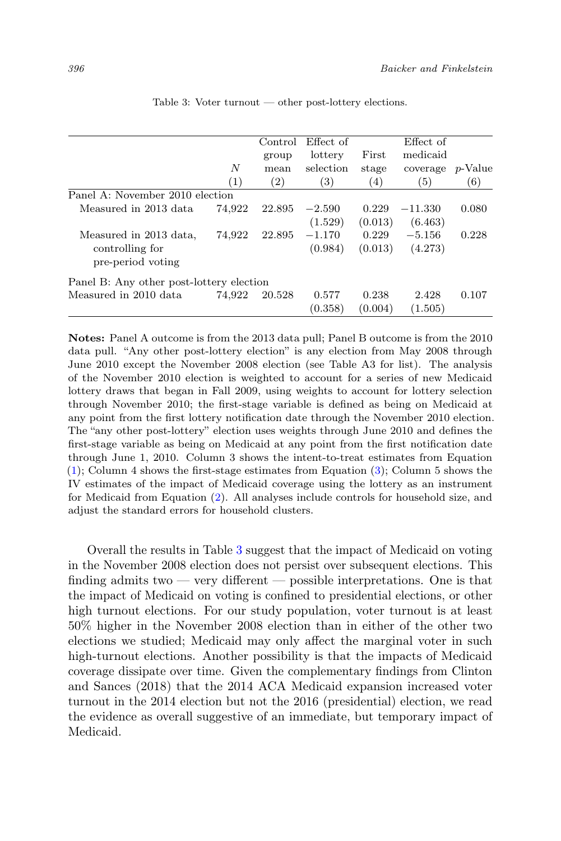<span id="page-13-0"></span>

|                                          |        | Control | Effect of |         | Effect of |         |
|------------------------------------------|--------|---------|-----------|---------|-----------|---------|
|                                          |        | group   | lottery   | First   | medicaid  |         |
|                                          | N      | mean    | selection | stage   | coverage  | p-Value |
|                                          | (1)    | (2)     | 3)        | (4)     | (5)       | (6)     |
| Panel A: November 2010 election          |        |         |           |         |           |         |
| Measured in 2013 data                    | 74,922 | 22.895  | $-2.590$  | 0.229   | $-11.330$ | 0.080   |
|                                          |        |         | (1.529)   | (0.013) | (6.463)   |         |
| Measured in 2013 data,                   | 74,922 | 22.895  | $-1.170$  | 0.229   | $-5.156$  | 0.228   |
| controlling for                          |        |         | (0.984)   | (0.013) | (4.273)   |         |
| pre-period voting                        |        |         |           |         |           |         |
| Panel B: Any other post-lottery election |        |         |           |         |           |         |
| Measured in 2010 data                    | 74.922 | 20.528  | 0.577     | 0.238   | 2.428     | 0.107   |
|                                          |        |         | (0.358)   | (0.004) | (1.505)   |         |

Table 3: Voter turnout — other post-lottery elections.

Notes: Panel A outcome is from the 2013 data pull; Panel B outcome is from the 2010 data pull. "Any other post-lottery election" is any election from May 2008 through June 2010 except the November 2008 election (see Table A3 for list). The analysis of the November 2010 election is weighted to account for a series of new Medicaid lottery draws that began in Fall 2009, using weights to account for lottery selection through November 2010; the first-stage variable is defined as being on Medicaid at any point from the first lottery notification date through the November 2010 election. The "any other post-lottery" election uses weights through June 2010 and defines the first-stage variable as being on Medicaid at any point from the first notification date through June 1, 2010. Column 3 shows the intent-to-treat estimates from Equation  $(1)$ ; Column 4 shows the first-stage estimates from Equation  $(3)$ ; Column 5 shows the IV estimates of the impact of Medicaid coverage using the lottery as an instrument for Medicaid from Equation [\(2\)](#page-8-0). All analyses include controls for household size, and adjust the standard errors for household clusters.

Overall the results in Table [3](#page-13-0) suggest that the impact of Medicaid on voting in the November 2008 election does not persist over subsequent elections. This finding admits two — very different — possible interpretations. One is that the impact of Medicaid on voting is confined to presidential elections, or other high turnout elections. For our study population, voter turnout is at least 50% higher in the November 2008 election than in either of the other two elections we studied; Medicaid may only affect the marginal voter in such high-turnout elections. Another possibility is that the impacts of Medicaid coverage dissipate over time. Given the complementary findings from Clinton and Sances (2018) that the 2014 ACA Medicaid expansion increased voter turnout in the 2014 election but not the 2016 (presidential) election, we read the evidence as overall suggestive of an immediate, but temporary impact of Medicaid.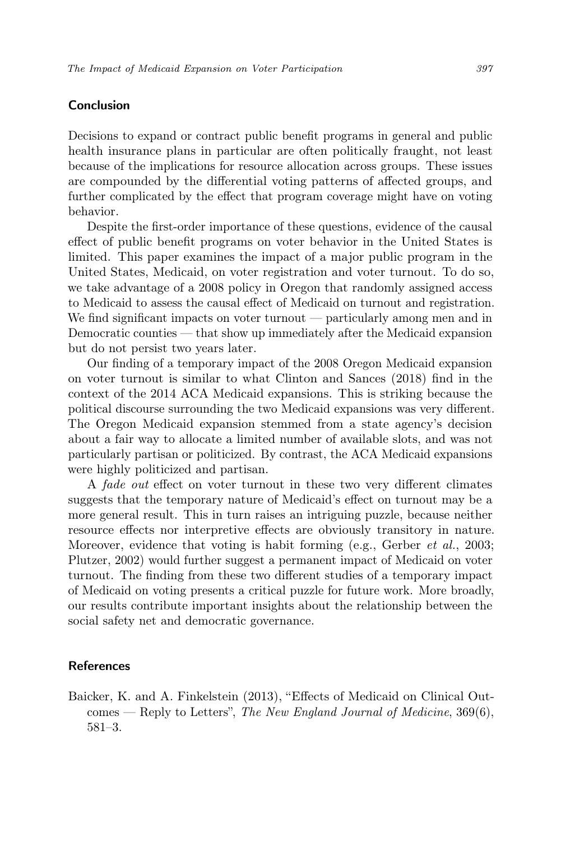# Conclusion

Decisions to expand or contract public benefit programs in general and public health insurance plans in particular are often politically fraught, not least because of the implications for resource allocation across groups. These issues are compounded by the differential voting patterns of affected groups, and further complicated by the effect that program coverage might have on voting behavior.

Despite the first-order importance of these questions, evidence of the causal effect of public benefit programs on voter behavior in the United States is limited. This paper examines the impact of a major public program in the United States, Medicaid, on voter registration and voter turnout. To do so, we take advantage of a 2008 policy in Oregon that randomly assigned access to Medicaid to assess the causal effect of Medicaid on turnout and registration. We find significant impacts on voter turnout — particularly among men and in Democratic counties — that show up immediately after the Medicaid expansion but do not persist two years later.

Our finding of a temporary impact of the 2008 Oregon Medicaid expansion on voter turnout is similar to what Clinton and Sances (2018) find in the context of the 2014 ACA Medicaid expansions. This is striking because the political discourse surrounding the two Medicaid expansions was very different. The Oregon Medicaid expansion stemmed from a state agency's decision about a fair way to allocate a limited number of available slots, and was not particularly partisan or politicized. By contrast, the ACA Medicaid expansions were highly politicized and partisan.

A fade out effect on voter turnout in these two very different climates suggests that the temporary nature of Medicaid's effect on turnout may be a more general result. This in turn raises an intriguing puzzle, because neither resource effects nor interpretive effects are obviously transitory in nature. Moreover, evidence that voting is habit forming (e.g., Gerber  $et \ al.,\ 2003;$ Plutzer, 2002) would further suggest a permanent impact of Medicaid on voter turnout. The finding from these two different studies of a temporary impact of Medicaid on voting presents a critical puzzle for future work. More broadly, our results contribute important insights about the relationship between the social safety net and democratic governance.

## References

Baicker, K. and A. Finkelstein (2013), "Effects of Medicaid on Clinical Outcomes — Reply to Letters", The New England Journal of Medicine, 369(6), 581–3.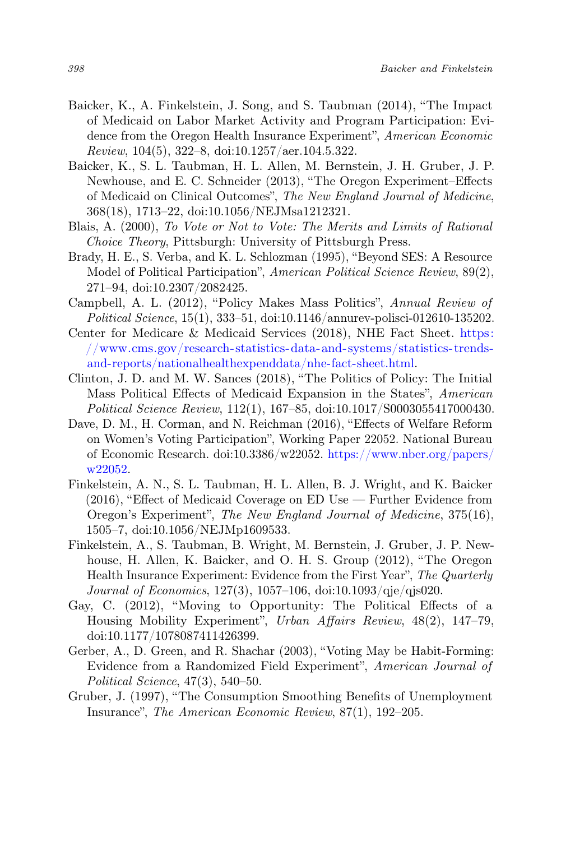- Baicker, K., A. Finkelstein, J. Song, and S. Taubman (2014), "The Impact of Medicaid on Labor Market Activity and Program Participation: Evidence from the Oregon Health Insurance Experiment", American Economic Review, 104(5), 322–8, doi:10.1257/aer.104.5.322.
- Baicker, K., S. L. Taubman, H. L. Allen, M. Bernstein, J. H. Gruber, J. P. Newhouse, and E. C. Schneider (2013), "The Oregon Experiment–Effects of Medicaid on Clinical Outcomes", The New England Journal of Medicine, 368(18), 1713–22, doi:10.1056/NEJMsa1212321.
- Blais, A. (2000), To Vote or Not to Vote: The Merits and Limits of Rational Choice Theory, Pittsburgh: University of Pittsburgh Press.
- Brady, H. E., S. Verba, and K. L. Schlozman (1995), "Beyond SES: A Resource Model of Political Participation", American Political Science Review, 89(2), 271–94, doi:10.2307/2082425.
- Campbell, A. L. (2012), "Policy Makes Mass Politics", Annual Review of Political Science, 15(1), 333–51, doi:10.1146/annurev-polisci-012610-135202.
- Center for Medicare & Medicaid Services (2018), NHE Fact Sheet. [https:](https://www.cms.gov/research-statistics-data-and-systems/statistics-trends-and-reports/nationalhealthexpenddata/nhe-fact-sheet.html) [//www.cms.gov/research-statistics-data-and-systems/statistics-trends](https://www.cms.gov/research-statistics-data-and-systems/statistics-trends-and-reports/nationalhealthexpenddata/nhe-fact-sheet.html)[and-reports/nationalhealthexpenddata/nhe-fact-sheet.html.](https://www.cms.gov/research-statistics-data-and-systems/statistics-trends-and-reports/nationalhealthexpenddata/nhe-fact-sheet.html)
- Clinton, J. D. and M. W. Sances (2018), "The Politics of Policy: The Initial Mass Political Effects of Medicaid Expansion in the States", American Political Science Review, 112(1), 167–85, doi:10.1017/S0003055417000430.
- Dave, D. M., H. Corman, and N. Reichman (2016), "Effects of Welfare Reform on Women's Voting Participation", Working Paper 22052. National Bureau of Economic Research. doi:10.3386/w22052. [https://www.nber.org/papers/](https://www.nber.org/papers/w22052) [w22052.](https://www.nber.org/papers/w22052)
- Finkelstein, A. N., S. L. Taubman, H. L. Allen, B. J. Wright, and K. Baicker (2016), "Effect of Medicaid Coverage on ED Use — Further Evidence from Oregon's Experiment", The New England Journal of Medicine, 375(16), 1505–7, doi:10.1056/NEJMp1609533.
- Finkelstein, A., S. Taubman, B. Wright, M. Bernstein, J. Gruber, J. P. Newhouse, H. Allen, K. Baicker, and O. H. S. Group (2012), "The Oregon Health Insurance Experiment: Evidence from the First Year", The Quarterly Journal of Economics, 127(3), 1057–106, doi:10.1093/qje/qjs020.
- Gay, C. (2012), "Moving to Opportunity: The Political Effects of a Housing Mobility Experiment", Urban Affairs Review, 48(2), 147–79, doi:10.1177/1078087411426399.
- Gerber, A., D. Green, and R. Shachar (2003), "Voting May be Habit-Forming: Evidence from a Randomized Field Experiment", American Journal of Political Science, 47(3), 540–50.
- Gruber, J. (1997), "The Consumption Smoothing Benefits of Unemployment Insurance", The American Economic Review, 87(1), 192–205.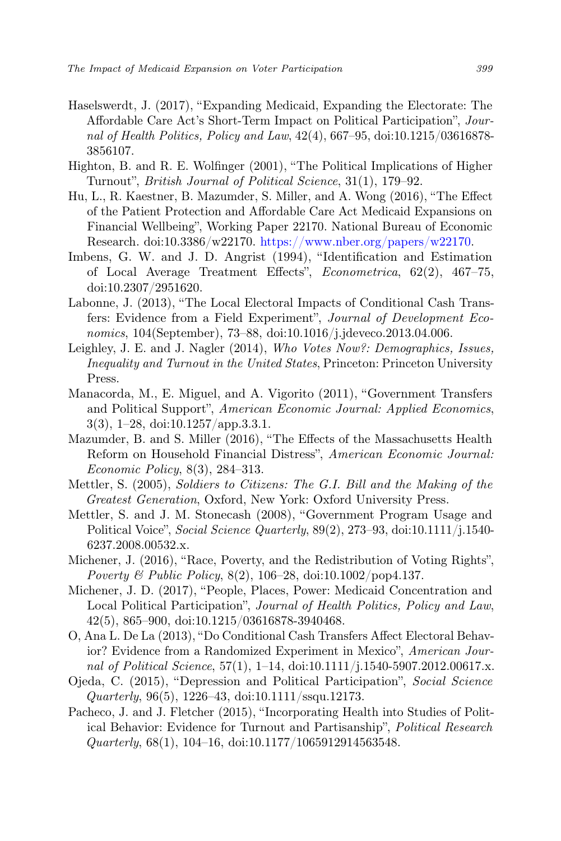- Haselswerdt, J. (2017), "Expanding Medicaid, Expanding the Electorate: The Affordable Care Act's Short-Term Impact on Political Participation", Journal of Health Politics, Policy and Law, 42(4), 667–95, doi:10.1215/03616878- 3856107.
- Highton, B. and R. E. Wolfinger (2001), "The Political Implications of Higher Turnout", British Journal of Political Science, 31(1), 179–92.
- Hu, L., R. Kaestner, B. Mazumder, S. Miller, and A. Wong (2016), "The Effect of the Patient Protection and Affordable Care Act Medicaid Expansions on Financial Wellbeing", Working Paper 22170. National Bureau of Economic Research. doi:10.3386/w22170. [https://www.nber.org/papers/w22170.](https://www.nber.org/papers/w22170)
- Imbens, G. W. and J. D. Angrist (1994), "Identification and Estimation of Local Average Treatment Effects", Econometrica, 62(2), 467–75, doi:10.2307/2951620.
- Labonne, J. (2013), "The Local Electoral Impacts of Conditional Cash Transfers: Evidence from a Field Experiment", Journal of Development Economics, 104(September), 73–88, doi:10.1016/j.jdeveco.2013.04.006.
- Leighley, J. E. and J. Nagler (2014), Who Votes Now?: Demographics, Issues, Inequality and Turnout in the United States, Princeton: Princeton University Press.
- Manacorda, M., E. Miguel, and A. Vigorito (2011), "Government Transfers and Political Support", American Economic Journal: Applied Economics, 3(3), 1–28, doi:10.1257/app.3.3.1.
- Mazumder, B. and S. Miller (2016), "The Effects of the Massachusetts Health Reform on Household Financial Distress", American Economic Journal: Economic Policy, 8(3), 284–313.
- Mettler, S. (2005), Soldiers to Citizens: The G.I. Bill and the Making of the Greatest Generation, Oxford, New York: Oxford University Press.
- Mettler, S. and J. M. Stonecash (2008), "Government Program Usage and Political Voice", Social Science Quarterly, 89(2), 273–93, doi:10.1111/j.1540- 6237.2008.00532.x.
- Michener, J. (2016), "Race, Poverty, and the Redistribution of Voting Rights", *Poverty & Public Policy*,  $8(2)$ ,  $106-28$ , doi:10.1002/pop4.137.
- Michener, J. D. (2017), "People, Places, Power: Medicaid Concentration and Local Political Participation", Journal of Health Politics, Policy and Law, 42(5), 865–900, doi:10.1215/03616878-3940468.
- O, Ana L. De La (2013), "Do Conditional Cash Transfers Affect Electoral Behavior? Evidence from a Randomized Experiment in Mexico", American Journal of Political Science, 57(1), 1–14, doi:10.1111/j.1540-5907.2012.00617.x.
- Ojeda, C. (2015), "Depression and Political Participation", Social Science  $Quarterly, 96(5), 1226-43, \text{doi: } 10.1111/\text{ssqu.}12173.$
- Pacheco, J. and J. Fletcher (2015), "Incorporating Health into Studies of Political Behavior: Evidence for Turnout and Partisanship", Political Research Quarterly, 68(1), 104–16, doi:10.1177/1065912914563548.